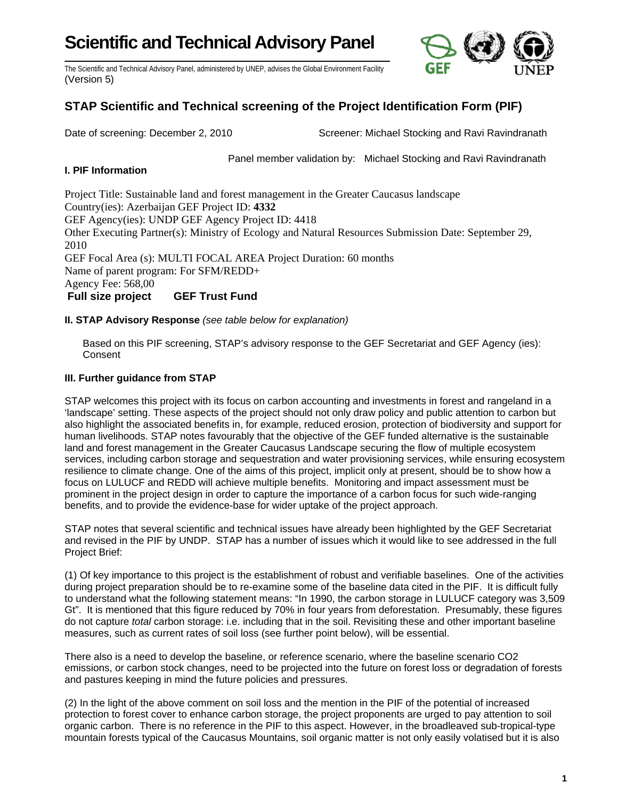# **Scientific and Technical Advisory Panel**



The Scientific and Technical Advisory Panel, administered by UNEP, advises the Global Environment Facility (Version 5)

## **STAP Scientific and Technical screening of the Project Identification Form (PIF)**

Date of screening: December 2, 2010 Screener: Michael Stocking and Ravi Ravindranath

Panel member validation by: Michael Stocking and Ravi Ravindranath

### **I. PIF Information**

Project Title: Sustainable land and forest management in the Greater Caucasus landscape Country(ies): Azerbaijan GEF Project ID: **4332**  GEF Agency(ies): UNDP GEF Agency Project ID: 4418 Other Executing Partner(s): Ministry of Ecology and Natural Resources Submission Date: September 29, 2010 GEF Focal Area (s): MULTI FOCAL AREA Project Duration: 60 months Name of parent program: For SFM/REDD+ Agency Fee: 568,00 **Full size project GEF Trust Fund**

#### **II. STAP Advisory Response** *(see table below for explanation)*

Based on this PIF screening, STAP's advisory response to the GEF Secretariat and GEF Agency (ies): **Consent** 

#### **III. Further guidance from STAP**

STAP welcomes this project with its focus on carbon accounting and investments in forest and rangeland in a 'landscape' setting. These aspects of the project should not only draw policy and public attention to carbon but also highlight the associated benefits in, for example, reduced erosion, protection of biodiversity and support for human livelihoods. STAP notes favourably that the objective of the GEF funded alternative is the sustainable land and forest management in the Greater Caucasus Landscape securing the flow of multiple ecosystem services, including carbon storage and sequestration and water provisioning services, while ensuring ecosystem resilience to climate change. One of the aims of this project, implicit only at present, should be to show how a focus on LULUCF and REDD will achieve multiple benefits. Monitoring and impact assessment must be prominent in the project design in order to capture the importance of a carbon focus for such wide-ranging benefits, and to provide the evidence-base for wider uptake of the project approach.

STAP notes that several scientific and technical issues have already been highlighted by the GEF Secretariat and revised in the PIF by UNDP. STAP has a number of issues which it would like to see addressed in the full Project Brief:

(1) Of key importance to this project is the establishment of robust and verifiable baselines. One of the activities during project preparation should be to re-examine some of the baseline data cited in the PIF. It is difficult fully to understand what the following statement means: "In 1990, the carbon storage in LULUCF category was 3,509 Gt". It is mentioned that this figure reduced by 70% in four years from deforestation. Presumably, these figures do not capture *total* carbon storage: i.e. including that in the soil. Revisiting these and other important baseline measures, such as current rates of soil loss (see further point below), will be essential.

There also is a need to develop the baseline, or reference scenario, where the baseline scenario CO2 emissions, or carbon stock changes, need to be projected into the future on forest loss or degradation of forests and pastures keeping in mind the future policies and pressures.

(2) In the light of the above comment on soil loss and the mention in the PIF of the potential of increased protection to forest cover to enhance carbon storage, the project proponents are urged to pay attention to soil organic carbon. There is no reference in the PIF to this aspect. However, in the broadleaved sub-tropical-type mountain forests typical of the Caucasus Mountains, soil organic matter is not only easily volatised but it is also